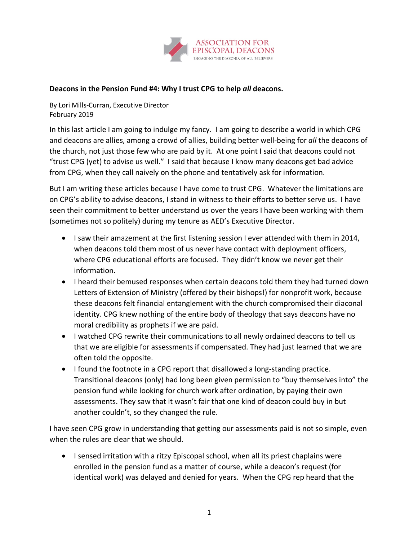

## **Deacons in the Pension Fund #4: Why I trust CPG to help** *all* **deacons.**

By Lori Mills-Curran, Executive Director February 2019

In this last article I am going to indulge my fancy. I am going to describe a world in which CPG and deacons are allies, among a crowd of allies, building better well-being for *all* the deacons of the church, not just those few who are paid by it. At one point I said that deacons could not "trust CPG (yet) to advise us well." I said that because I know many deacons get bad advice from CPG, when they call naively on the phone and tentatively ask for information.

But I am writing these articles because I have come to trust CPG. Whatever the limitations are on CPG's ability to advise deacons, I stand in witness to their efforts to better serve us. I have seen their commitment to better understand us over the years I have been working with them (sometimes not so politely) during my tenure as AED's Executive Director.

- I saw their amazement at the first listening session I ever attended with them in 2014, when deacons told them most of us never have contact with deployment officers, where CPG educational efforts are focused. They didn't know we never get their information.
- I heard their bemused responses when certain deacons told them they had turned down Letters of Extension of Ministry (offered by their bishops!) for nonprofit work, because these deacons felt financial entanglement with the church compromised their diaconal identity. CPG knew nothing of the entire body of theology that says deacons have no moral credibility as prophets if we are paid.
- I watched CPG rewrite their communications to all newly ordained deacons to tell us that we are eligible for assessments if compensated. They had just learned that we are often told the opposite.
- I found the footnote in a CPG report that disallowed a long-standing practice. Transitional deacons (only) had long been given permission to "buy themselves into" the pension fund while looking for church work after ordination, by paying their own assessments. They saw that it wasn't fair that one kind of deacon could buy in but another couldn't, so they changed the rule.

I have seen CPG grow in understanding that getting our assessments paid is not so simple, even when the rules are clear that we should.

• I sensed irritation with a ritzy Episcopal school, when all its priest chaplains were enrolled in the pension fund as a matter of course, while a deacon's request (for identical work) was delayed and denied for years. When the CPG rep heard that the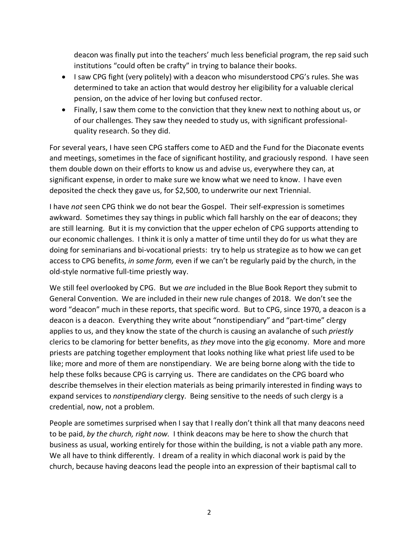deacon was finally put into the teachers' much less beneficial program, the rep said such institutions "could often be crafty" in trying to balance their books.

- I saw CPG fight (very politely) with a deacon who misunderstood CPG's rules. She was determined to take an action that would destroy her eligibility for a valuable clerical pension, on the advice of her loving but confused rector.
- Finally, I saw them come to the conviction that they knew next to nothing about us, or of our challenges. They saw they needed to study us, with significant professionalquality research. So they did.

For several years, I have seen CPG staffers come to AED and the Fund for the Diaconate events and meetings, sometimes in the face of significant hostility, and graciously respond. I have seen them double down on their efforts to know us and advise us, everywhere they can, at significant expense, in order to make sure we know what we need to know. I have even deposited the check they gave us, for \$2,500, to underwrite our next Triennial.

I have *not* seen CPG think we do not bear the Gospel. Their self-expression is sometimes awkward. Sometimes they say things in public which fall harshly on the ear of deacons; they are still learning. But it is my conviction that the upper echelon of CPG supports attending to our economic challenges. I think it is only a matter of time until they do for us what they are doing for seminarians and bi-vocational priests: try to help us strategize as to how we can get access to CPG benefits, *in some form,* even if we can't be regularly paid by the church, in the old-style normative full-time priestly way.

We still feel overlooked by CPG. But we *are* included in the Blue Book Report they submit to General Convention. We are included in their new rule changes of 2018. We don't see the word "deacon" much in these reports, that specific word. But to CPG, since 1970, a deacon is a deacon is a deacon. Everything they write about "nonstipendiary" and "part-time" clergy applies to us, and they know the state of the church is causing an avalanche of such *priestly*  clerics to be clamoring for better benefits, as *they* move into the gig economy. More and more priests are patching together employment that looks nothing like what priest life used to be like; more and more of them are nonstipendiary. We are being borne along with the tide to help these folks because CPG is carrying us. There are candidates on the CPG board who describe themselves in their election materials as being primarily interested in finding ways to expand services to *nonstipendiary* clergy. Being sensitive to the needs of such clergy is a credential, now, not a problem.

People are sometimes surprised when I say that I really don't think all that many deacons need to be paid, *by the church, right now.* I think deacons may be here to show the church that business as usual, working entirely for those within the building, is not a viable path any more. We all have to think differently. I dream of a reality in which diaconal work is paid by the church, because having deacons lead the people into an expression of their baptismal call to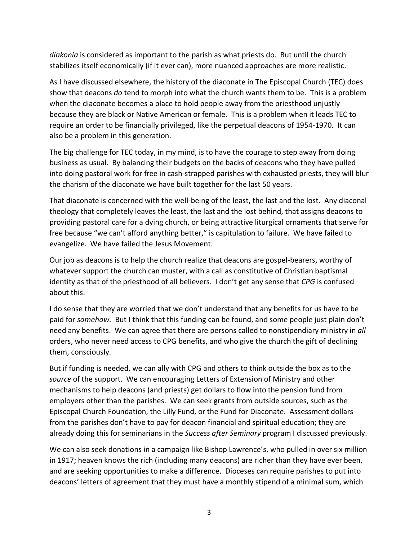*diakonia* is considered as important to the parish as what priests do. But until the church stabilizes itself economically (if it ever can), more nuanced approaches are more realistic.

As I have discussed elsewhere, the history of the diaconate in The Episcopal Church (TEC) does show that deacons *do* tend to morph into what the church wants them to be. This is a problem when the diaconate becomes a place to hold people away from the priesthood unjustly because they are black or Native American or female. This is a problem when it leads TEC to require an order to be financially privileged, like the perpetual deacons of 1954-1970. It can also be a problem in this generation.

The big challenge for TEC today, in my mind, is to have the courage to step away from doing business as usual. By balancing their budgets on the backs of deacons who they have pulled into doing pastoral work for free in cash-strapped parishes with exhausted priests, they will blur the charism of the diaconate we have built together for the last 50 years.

That diaconate is concerned with the well-being of the least, the last and the lost. Any diaconal theology that completely leaves the least, the last and the lost behind, that assigns deacons to providing pastoral care for a dying church, or being attractive liturgical ornaments that serve for free because "we can't afford anything better," is capitulation to failure. We have failed to evangelize. We have failed the Jesus Movement.

Our job as deacons is to help the church realize that deacons are gospel-bearers, worthy of whatever support the church can muster, with a call as constitutive of Christian baptismal identity as that of the priesthood of all believers. I don't get any sense that *CPG* is confused about this.

I do sense that they are worried that we don't understand that any benefits for us have to be paid for *somehow.* But I think that this funding can be found, and some people just plain don't need any benefits. We can agree that there are persons called to nonstipendiary ministry in *all* orders, who never need access to CPG benefits, and who give the church the gift of declining them, consciously.

But if funding is needed, we can ally with CPG and others to think outside the box as to the *source* of the support. We can encouraging Letters of Extension of Ministry and other mechanisms to help deacons (and priests) get dollars to flow into the pension fund from employers other than the parishes. We can seek grants from outside sources, such as the Episcopal Church Foundation, the Lilly Fund, or the Fund for Diaconate. Assessment dollars from the parishes don't have to pay for deacon financial and spiritual education; they are already doing this for seminarians in the *Success after Seminary* program I discussed previously.

We can also seek donations in a campaign like Bishop Lawrence's, who pulled in over six million in 1917; heaven knows the rich (including many deacons) are richer than they have ever been, and are seeking opportunities to make a difference. Dioceses can require parishes to put into deacons' letters of agreement that they must have a monthly stipend of a minimal sum, which